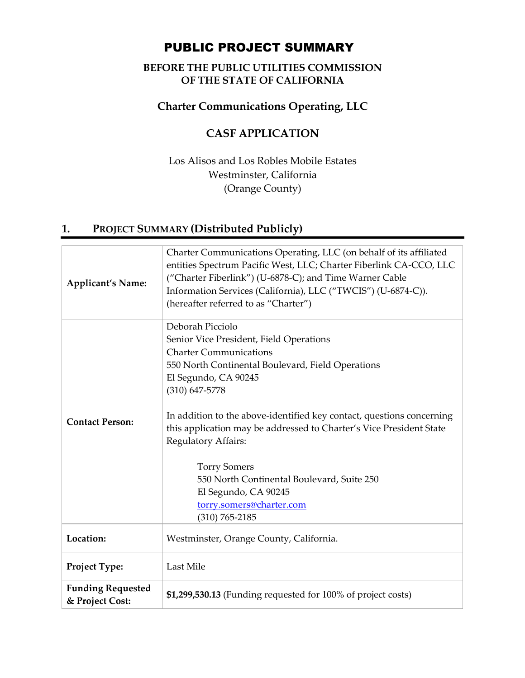# PUBLIC PROJECT SUMMARY

### **BEFORE THE PUBLIC UTILITIES COMMISSION OF THE STATE OF CALIFORNIA**

### **Charter Communications Operating, LLC**

## **CASF APPLICATION**

Los Alisos and Los Robles Mobile Estates Westminster, California (Orange County)

## **1. PROJECT SUMMARY (Distributed Publicly)**

| <b>Applicant's Name:</b>                    | Charter Communications Operating, LLC (on behalf of its affiliated<br>entities Spectrum Pacific West, LLC; Charter Fiberlink CA-CCO, LLC<br>("Charter Fiberlink") (U-6878-C); and Time Warner Cable<br>Information Services (California), LLC ("TWCIS") (U-6874-C)).<br>(hereafter referred to as "Charter")                                                                                                                                                                                                          |  |
|---------------------------------------------|-----------------------------------------------------------------------------------------------------------------------------------------------------------------------------------------------------------------------------------------------------------------------------------------------------------------------------------------------------------------------------------------------------------------------------------------------------------------------------------------------------------------------|--|
| <b>Contact Person:</b>                      | Deborah Picciolo<br>Senior Vice President, Field Operations<br><b>Charter Communications</b><br>550 North Continental Boulevard, Field Operations<br>El Segundo, CA 90245<br>$(310) 647 - 5778$<br>In addition to the above-identified key contact, questions concerning<br>this application may be addressed to Charter's Vice President State<br>Regulatory Affairs:<br><b>Torry Somers</b><br>550 North Continental Boulevard, Suite 250<br>El Segundo, CA 90245<br>torry.somers@charter.com<br>$(310) 765 - 2185$ |  |
| Location:                                   | Westminster, Orange County, California.                                                                                                                                                                                                                                                                                                                                                                                                                                                                               |  |
| Project Type:                               | Last Mile                                                                                                                                                                                                                                                                                                                                                                                                                                                                                                             |  |
| <b>Funding Requested</b><br>& Project Cost: | \$1,299,530.13 (Funding requested for 100% of project costs)                                                                                                                                                                                                                                                                                                                                                                                                                                                          |  |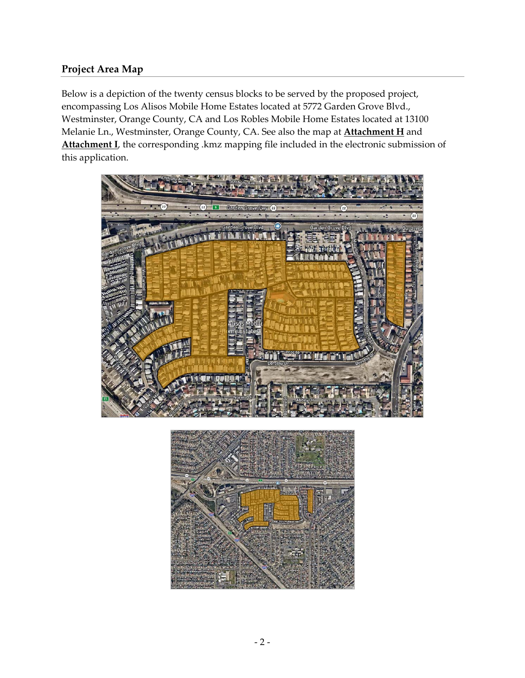### **Project Area Map**

Below is a depiction of the twenty census blocks to be served by the proposed project, encompassing Los Alisos Mobile Home Estates located at 5772 Garden Grove Blvd., Westminster, Orange County, CA and Los Robles Mobile Home Estates located at 13100 Melanie Ln., Westminster, Orange County, CA. See also the map at **Attachment H** and Attachment **I**, the corresponding .kmz mapping file included in the electronic submission of this application.



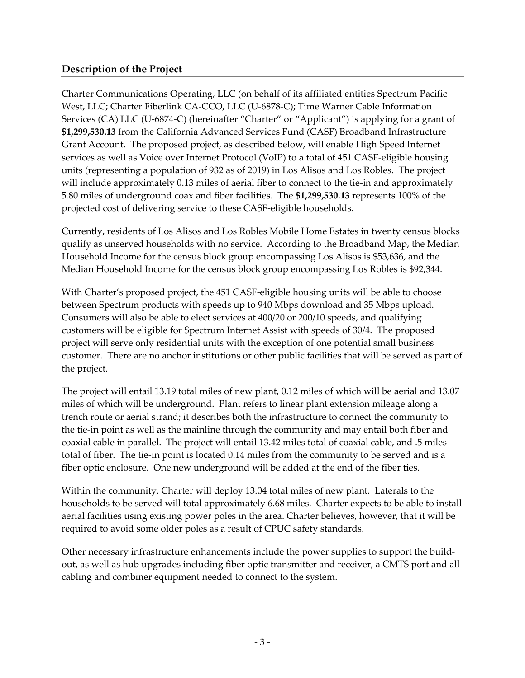#### **Description of the Project**

Charter Communications Operating, LLC (on behalf of its affiliated entities Spectrum Pacific West, LLC; Charter Fiberlink CA‐CCO, LLC (U‐6878‐C); Time Warner Cable Information Services (CA) LLC (U-6874-C) (hereinafter "Charter" or "Applicant") is applying for a grant of **\$1,299,530.13** from the California Advanced Services Fund (CASF) Broadband Infrastructure Grant Account. The proposed project, as described below, will enable High Speed Internet services as well as Voice over Internet Protocol (VoIP) to a total of 451 CASF-eligible housing units (representing a population of 932 as of 2019) in Los Alisos and Los Robles. The project will include approximately 0.13 miles of aerial fiber to connect to the tie-in and approximately 5.80 miles of underground coax and fiber facilities. The **\$1,299,530.13** represents 100% of the projected cost of delivering service to these CASF‐eligible households.

Currently, residents of Los Alisos and Los Robles Mobile Home Estates in twenty census blocks qualify as unserved households with no service. According to the Broadband Map, the Median Household Income for the census block group encompassing Los Alisos is \$53,636, and the Median Household Income for the census block group encompassing Los Robles is \$92,344.

With Charter's proposed project, the 451 CASF-eligible housing units will be able to choose between Spectrum products with speeds up to 940 Mbps download and 35 Mbps upload. Consumers will also be able to elect services at 400/20 or 200/10 speeds, and qualifying customers will be eligible for Spectrum Internet Assist with speeds of 30/4. The proposed project will serve only residential units with the exception of one potential small business customer. There are no anchor institutions or other public facilities that will be served as part of the project.

The project will entail 13.19 total miles of new plant, 0.12 miles of which will be aerial and 13.07 miles of which will be underground. Plant refers to linear plant extension mileage along a trench route or aerial strand; it describes both the infrastructure to connect the community to the tie-in point as well as the mainline through the community and may entail both fiber and coaxial cable in parallel. The project will entail 13.42 miles total of coaxial cable, and .5 miles total of fiber. The tie‐in point is located 0.14 miles from the community to be served and is a fiber optic enclosure. One new underground will be added at the end of the fiber ties.

Within the community, Charter will deploy 13.04 total miles of new plant. Laterals to the households to be served will total approximately 6.68 miles. Charter expects to be able to install aerial facilities using existing power poles in the area. Charter believes, however, that it will be required to avoid some older poles as a result of CPUC safety standards.

Other necessary infrastructure enhancements include the power supplies to support the build‐ out, as well as hub upgrades including fiber optic transmitter and receiver, a CMTS port and all cabling and combiner equipment needed to connect to the system.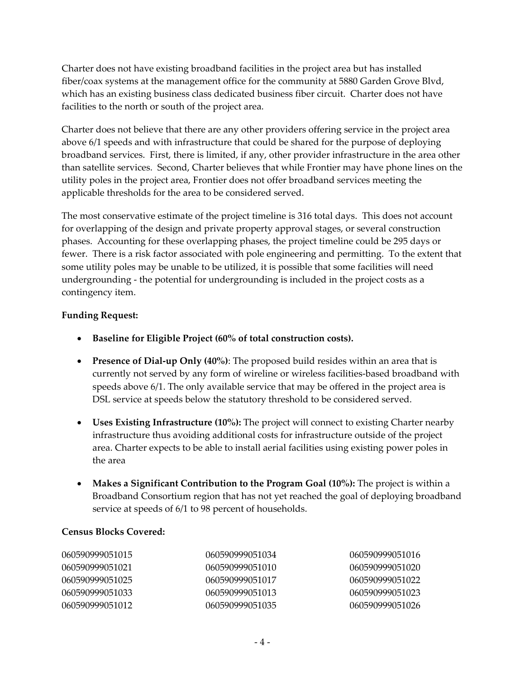Charter does not have existing broadband facilities in the project area but has installed fiber/coax systems at the management office for the community at 5880 Garden Grove Blvd, which has an existing business class dedicated business fiber circuit. Charter does not have facilities to the north or south of the project area.

Charter does not believe that there are any other providers offering service in the project area above 6/1 speeds and with infrastructure that could be shared for the purpose of deploying broadband services. First, there is limited, if any, other provider infrastructure in the area other than satellite services. Second, Charter believes that while Frontier may have phone lines on the utility poles in the project area, Frontier does not offer broadband services meeting the applicable thresholds for the area to be considered served.

The most conservative estimate of the project timeline is 316 total days. This does not account for overlapping of the design and private property approval stages, or several construction phases. Accounting for these overlapping phases, the project timeline could be 295 days or fewer. There is a risk factor associated with pole engineering and permitting. To the extent that some utility poles may be unable to be utilized, it is possible that some facilities will need undergrounding ‐ the potential for undergrounding is included in the project costs as a contingency item.

#### **Funding Request:**

- **Baseline for Eligible Project (60% of total construction costs).**
- **Presence of Dial‐up Only (40%)**: The proposed build resides within an area that is currently not served by any form of wireline or wireless facilities‐based broadband with speeds above 6/1. The only available service that may be offered in the project area is DSL service at speeds below the statutory threshold to be considered served.
- **Uses Existing Infrastructure (10%):** The project will connect to existing Charter nearby infrastructure thus avoiding additional costs for infrastructure outside of the project area. Charter expects to be able to install aerial facilities using existing power poles in the area
- **Makes a Significant Contribution to the Program Goal (10%):** The project is within a Broadband Consortium region that has not yet reached the goal of deploying broadband service at speeds of 6/1 to 98 percent of households.

#### **Census Blocks Covered:**

| 060590999051015 | 060590999051034 | 060590999051016 |
|-----------------|-----------------|-----------------|
| 060590999051021 | 060590999051010 | 060590999051020 |
| 060590999051025 | 060590999051017 | 060590999051022 |
| 060590999051033 | 060590999051013 | 060590999051023 |
| 060590999051012 | 060590999051035 | 060590999051026 |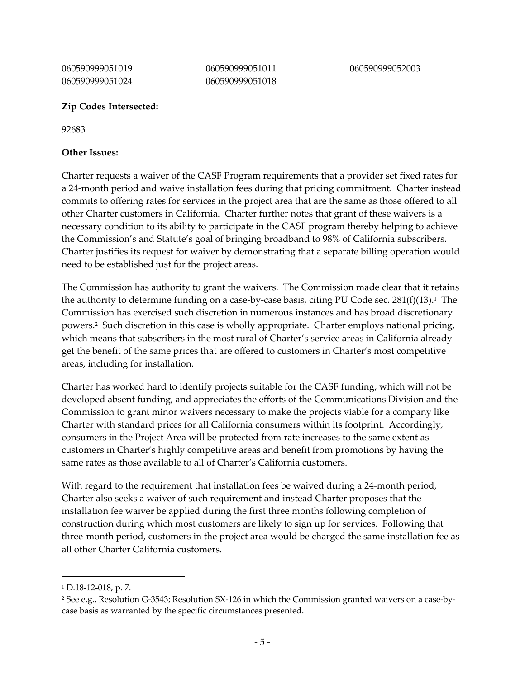060590999051019 060590999051024 060590999051011 060590999051018

#### **Zip Codes Intersected:**

92683

#### **Other Issues:**

Charter requests a waiver of the CASF Program requirements that a provider set fixed rates for a 24-month period and waive installation fees during that pricing commitment. Charter instead commits to offering rates for services in the project area that are the same as those offered to all other Charter customers in California. Charter further notes that grant of these waivers is a necessary condition to its ability to participate in the CASF program thereby helping to achieve the Commission's and Statute's goal of bringing broadband to 98% of California subscribers. Charter justifies its request for waiver by demonstrating that a separate billing operation would need to be established just for the project areas.

The Commission has authority to grant the waivers. The Commission made clear that it retains the authority to determine funding on a case-by-case basis, citing PU Code sec.  $281(f)(13).$ <sup>1</sup> The Commission has exercised such discretion in numerous instances and has broad discretionary powers.2 Such discretion in this case is wholly appropriate. Charter employs national pricing, which means that subscribers in the most rural of Charter's service areas in California already get the benefit of the same prices that are offered to customers in Charter's most competitive areas, including for installation.

Charter has worked hard to identify projects suitable for the CASF funding, which will not be developed absent funding, and appreciates the efforts of the Communications Division and the Commission to grant minor waivers necessary to make the projects viable for a company like Charter with standard prices for all California consumers within its footprint. Accordingly, consumers in the Project Area will be protected from rate increases to the same extent as customers in Charter's highly competitive areas and benefit from promotions by having the same rates as those available to all of Charter's California customers.

With regard to the requirement that installation fees be waived during a 24-month period, Charter also seeks a waiver of such requirement and instead Charter proposes that the installation fee waiver be applied during the first three months following completion of construction during which most customers are likely to sign up for services. Following that three‐month period, customers in the project area would be charged the same installation fee as all other Charter California customers.

<sup>1</sup> D.18‐12‐018, p. 7.

<sup>2</sup> See e.g., Resolution G‐3543; Resolution SX‐126 in which the Commission granted waivers on a case‐by‐ case basis as warranted by the specific circumstances presented.